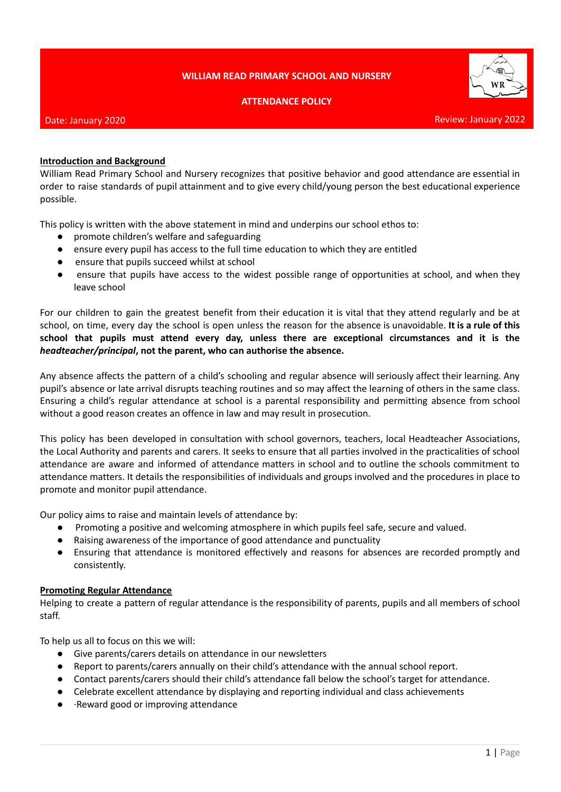## **WILLIAM READ PRIMARY SCHOOL AND NURSERY**





#### Date: January 2020

### **Introduction and Background**

William Read Primary School and Nursery recognizes that positive behavior and good attendance are essential in order to raise standards of pupil attainment and to give every child/young person the best educational experience possible.

This policy is written with the above statement in mind and underpins our school ethos to:

- promote children's welfare and safeguarding
- ensure every pupil has access to the full time education to which they are entitled
- ensure that pupils succeed whilst at school
- ensure that pupils have access to the widest possible range of opportunities at school, and when they leave school

For our children to gain the greatest benefit from their education it is vital that they attend regularly and be at school, on time, every day the school is open unless the reason for the absence is unavoidable. **It is a rule of this school that pupils must attend every day, unless there are exceptional circumstances and it is the** *headteacher/principal***, not the parent, who can authorise the absence.**

Any absence affects the pattern of a child's schooling and regular absence will seriously affect their learning. Any pupil's absence or late arrival disrupts teaching routines and so may affect the learning of others in the same class. Ensuring a child's regular attendance at school is a parental responsibility and permitting absence from school without a good reason creates an offence in law and may result in prosecution.

This policy has been developed in consultation with school governors, teachers, local Headteacher Associations, the Local Authority and parents and carers. It seeks to ensure that all parties involved in the practicalities of school attendance are aware and informed of attendance matters in school and to outline the schools commitment to attendance matters. It details the responsibilities of individuals and groups involved and the procedures in place to promote and monitor pupil attendance.

Our policy aims to raise and maintain levels of attendance by:

- Promoting a positive and welcoming atmosphere in which pupils feel safe, secure and valued.
- Raising awareness of the importance of good attendance and punctuality
- Ensuring that attendance is monitored effectively and reasons for absences are recorded promptly and consistently.

### **Promoting Regular Attendance**

Helping to create a pattern of regular attendance is the responsibility of parents, pupils and all members of school staff.

To help us all to focus on this we will:

- Give parents/carers details on attendance in our newsletters
- Report to parents/carers annually on their child's attendance with the annual school report.
- Contact parents/carers should their child's attendance fall below the school's target for attendance.
- Celebrate excellent attendance by displaying and reporting individual and class achievements
- ·Reward good or improving attendance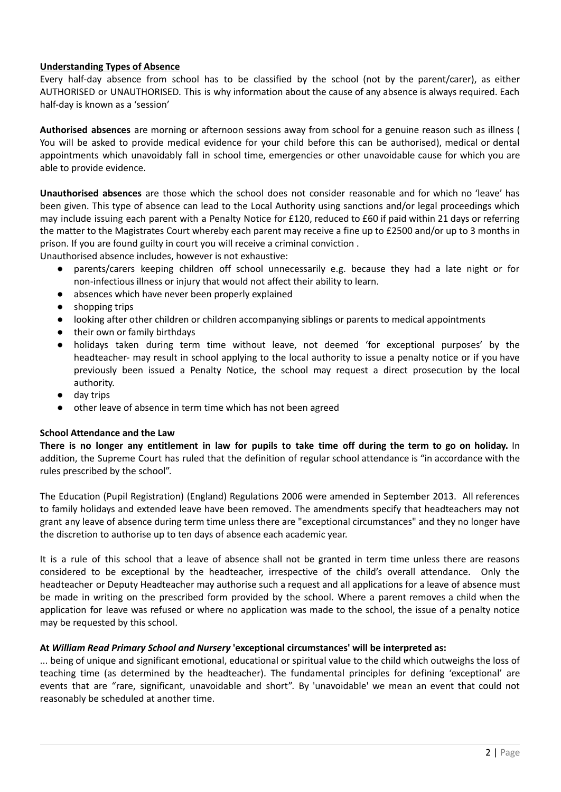## **Understanding Types of Absence**

Every half-day absence from school has to be classified by the school (not by the parent/carer), as either AUTHORISED or UNAUTHORISED. This is why information about the cause of any absence is always required. Each half-day is known as a 'session'

**Authorised absences** are morning or afternoon sessions away from school for a genuine reason such as illness ( You will be asked to provide medical evidence for your child before this can be authorised), medical or dental appointments which unavoidably fall in school time, emergencies or other unavoidable cause for which you are able to provide evidence.

**Unauthorised absences** are those which the school does not consider reasonable and for which no 'leave' has been given. This type of absence can lead to the Local Authority using sanctions and/or legal proceedings which may include issuing each parent with a Penalty Notice for £120, reduced to £60 if paid within 21 days or referring the matter to the Magistrates Court whereby each parent may receive a fine up to £2500 and/or up to 3 months in prison. If you are found guilty in court you will receive a criminal conviction .

Unauthorised absence includes, however is not exhaustive:

- parents/carers keeping children off school unnecessarily e.g. because they had a late night or for non-infectious illness or injury that would not affect their ability to learn.
- absences which have never been properly explained
- shopping trips
- looking after other children or children accompanying siblings or parents to medical appointments
- their own or family birthdays
- holidays taken during term time without leave, not deemed 'for exceptional purposes' by the headteacher- may result in school applying to the local authority to issue a penalty notice or if you have previously been issued a Penalty Notice, the school may request a direct prosecution by the local authority.
- day trips
- other leave of absence in term time which has not been agreed

### **School Attendance and the Law**

There is no longer any entitlement in law for pupils to take time off during the term to go on holiday. In addition, the Supreme Court has ruled that the definition of regular school attendance is "in accordance with the rules prescribed by the school".

The Education (Pupil Registration) (England) Regulations 2006 were amended in September 2013. All references to family holidays and extended leave have been removed. The amendments specify that headteachers may not grant any leave of absence during term time unless there are "exceptional circumstances" and they no longer have the discretion to authorise up to ten days of absence each academic year.

It is a rule of this school that a leave of absence shall not be granted in term time unless there are reasons considered to be exceptional by the headteacher, irrespective of the child's overall attendance. Only the headteacher or Deputy Headteacher may authorise such a request and all applications for a leave of absence must be made in writing on the prescribed form provided by the school. Where a parent removes a child when the application for leave was refused or where no application was made to the school, the issue of a penalty notice may be requested by this school.

### **At** *William Read Primary School and Nursery* **'exceptional circumstances' will be interpreted as:**

... being of unique and significant emotional, educational or spiritual value to the child which outweighs the loss of teaching time (as determined by the headteacher). The fundamental principles for defining 'exceptional' are events that are "rare, significant, unavoidable and short". By 'unavoidable' we mean an event that could not reasonably be scheduled at another time.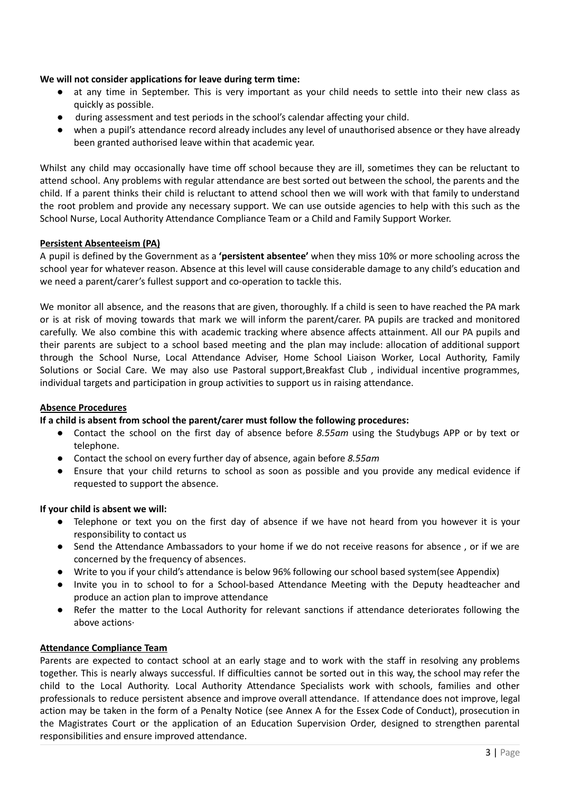## **We will not consider applications for leave during term time:**

- at any time in September. This is very important as your child needs to settle into their new class as quickly as possible.
- during assessment and test periods in the school's calendar affecting your child.
- when a pupil's attendance record already includes any level of unauthorised absence or they have already been granted authorised leave within that academic year.

Whilst any child may occasionally have time off school because they are ill, sometimes they can be reluctant to attend school. Any problems with regular attendance are best sorted out between the school, the parents and the child. If a parent thinks their child is reluctant to attend school then we will work with that family to understand the root problem and provide any necessary support. We can use outside agencies to help with this such as the School Nurse, Local Authority Attendance Compliance Team or a Child and Family Support Worker.

## **Persistent Absenteeism (PA)**

A pupil is defined by the Government as a **'persistent absentee'** when they miss 10% or more schooling across the school year for whatever reason. Absence at this level will cause considerable damage to any child's education and we need a parent/carer's fullest support and co-operation to tackle this.

We monitor all absence, and the reasons that are given, thoroughly. If a child is seen to have reached the PA mark or is at risk of moving towards that mark we will inform the parent/carer. PA pupils are tracked and monitored carefully. We also combine this with academic tracking where absence affects attainment. All our PA pupils and their parents are subject to a school based meeting and the plan may include: allocation of additional support through the School Nurse, Local Attendance Adviser, Home School Liaison Worker, Local Authority, Family Solutions or Social Care. We may also use Pastoral support,Breakfast Club , individual incentive programmes, individual targets and participation in group activities to support us in raising attendance.

### **Absence Procedures**

### **If a child is absent from school the parent/carer must follow the following procedures:**

- Contact the school on the first day of absence before *8.55am* using the Studybugs APP or by text or telephone.
- Contact the school on every further day of absence, again before *8.55am*
- Ensure that your child returns to school as soon as possible and you provide any medical evidence if requested to support the absence.

### **If your child is absent we will:**

- Telephone or text you on the first day of absence if we have not heard from you however it is your responsibility to contact us
- Send the Attendance Ambassadors to your home if we do not receive reasons for absence, or if we are concerned by the frequency of absences.
- Write to you if your child's attendance is below 96% following our school based system(see Appendix)
- Invite you in to school to for a School-based Attendance Meeting with the Deputy headteacher and produce an action plan to improve attendance
- Refer the matter to the Local Authority for relevant sanctions if attendance deteriorates following the above actions·

### **Attendance Compliance Team**

Parents are expected to contact school at an early stage and to work with the staff in resolving any problems together. This is nearly always successful. If difficulties cannot be sorted out in this way, the school may refer the child to the Local Authority. Local Authority Attendance Specialists work with schools, families and other professionals to reduce persistent absence and improve overall attendance. If attendance does not improve, legal action may be taken in the form of a Penalty Notice (see Annex A for the Essex Code of Conduct), prosecution in the Magistrates Court or the application of an Education Supervision Order, designed to strengthen parental responsibilities and ensure improved attendance.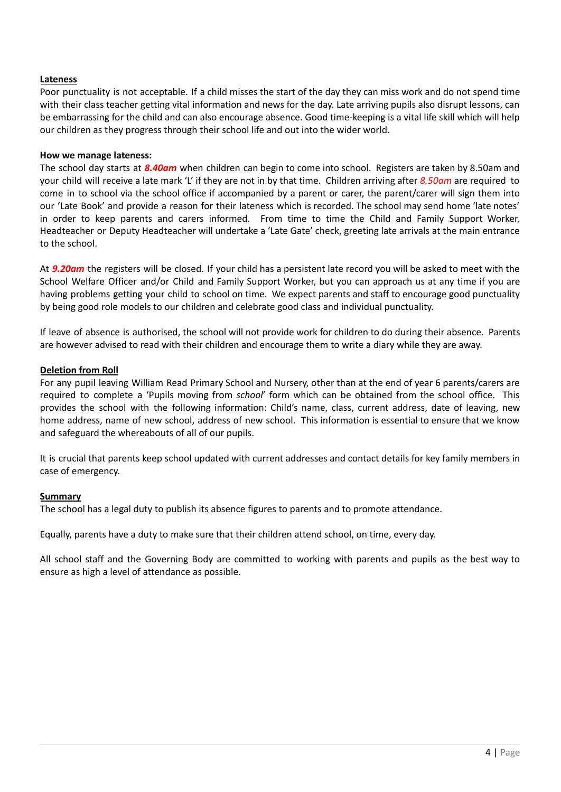## **Lateness**

Poor punctuality is not acceptable. If a child misses the start of the day they can miss work and do not spend time with their class teacher getting vital information and news for the day. Late arriving pupils also disrupt lessons, can be embarrassing for the child and can also encourage absence. Good time-keeping is a vital life skill which will help our children as they progress through their school life and out into the wider world.

#### **How we manage lateness:**

The school day starts at *8.40am* when children can begin to come into school. Registers are taken by 8.50am and your child will receive a late mark 'L' if they are not in by that time. Children arriving after *8.50am* are required to come in to school via the school office if accompanied by a parent or carer, the parent/carer will sign them into our 'Late Book' and provide a reason for their lateness which is recorded. The school may send home 'late notes' in order to keep parents and carers informed. From time to time the Child and Family Support Worker, Headteacher or Deputy Headteacher will undertake a 'Late Gate' check, greeting late arrivals at the main entrance to the school.

At *9.20am* the registers will be closed. If your child has a persistent late record you will be asked to meet with the School Welfare Officer and/or Child and Family Support Worker, but you can approach us at any time if you are having problems getting your child to school on time. We expect parents and staff to encourage good punctuality by being good role models to our children and celebrate good class and individual punctuality.

If leave of absence is authorised, the school will not provide work for children to do during their absence. Parents are however advised to read with their children and encourage them to write a diary while they are away.

#### **Deletion from Roll**

For any pupil leaving William Read Primary School and Nursery, other than at the end of year 6 parents/carers are required to complete a 'Pupils moving from *school*' form which can be obtained from the school office. This provides the school with the following information: Child's name, class, current address, date of leaving, new home address, name of new school, address of new school. This information is essential to ensure that we know and safeguard the whereabouts of all of our pupils.

It is crucial that parents keep school updated with current addresses and contact details for key family members in case of emergency.

### **Summary**

The school has a legal duty to publish its absence figures to parents and to promote attendance.

Equally, parents have a duty to make sure that their children attend school, on time, every day.

All school staff and the Governing Body are committed to working with parents and pupils as the best way to ensure as high a level of attendance as possible.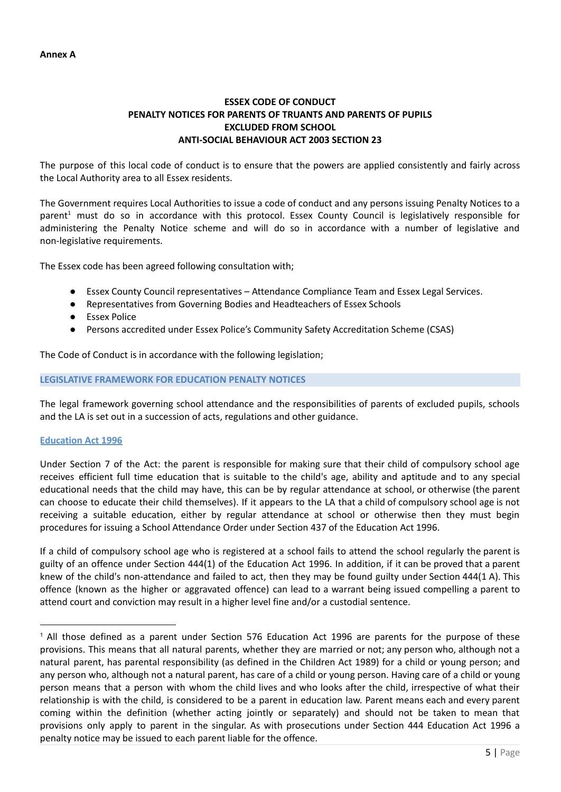# **ESSEX CODE OF CONDUCT PENALTY NOTICES FOR PARENTS OF TRUANTS AND PARENTS OF PUPILS EXCLUDED FROM SCHOOL ANTI-SOCIAL BEHAVIOUR ACT 2003 SECTION 23**

The purpose of this local code of conduct is to ensure that the powers are applied consistently and fairly across the Local Authority area to all Essex residents.

The Government requires Local Authorities to issue a code of conduct and any persons issuing Penalty Notices to a parent<sup>1</sup> must do so in accordance with this protocol. Essex County Council is legislatively responsible for administering the Penalty Notice scheme and will do so in accordance with a number of legislative and non-legislative requirements.

The Essex code has been agreed following consultation with;

- Essex County Council representatives Attendance Compliance Team and Essex Legal Services.
- Representatives from Governing Bodies and Headteachers of Essex Schools
- Essex Police
- Persons accredited under Essex Police's Community Safety Accreditation Scheme (CSAS)

The Code of Conduct is in accordance with the following legislation;

#### **LEGISLATIVE FRAMEWORK FOR EDUCATION PENALTY NOTICES**

The legal framework governing school attendance and the responsibilities of parents of excluded pupils, schools and the LA is set out in a succession of acts, regulations and other guidance.

### **Education Act 1996**

Under Section 7 of the Act: the parent is responsible for making sure that their child of compulsory school age receives efficient full time education that is suitable to the child's age, ability and aptitude and to any special educational needs that the child may have, this can be by regular attendance at school, or otherwise (the parent can choose to educate their child themselves). If it appears to the LA that a child of compulsory school age is not receiving a suitable education, either by regular attendance at school or otherwise then they must begin procedures for issuing a School Attendance Order under Section 437 of the Education Act 1996.

If a child of compulsory school age who is registered at a school fails to attend the school regularly the parent is guilty of an offence under Section 444(1) of the Education Act 1996. In addition, if it can be proved that a parent knew of the child's non-attendance and failed to act, then they may be found guilty under Section 444(1 A). This offence (known as the higher or aggravated offence) can lead to a warrant being issued compelling a parent to attend court and conviction may result in a higher level fine and/or a custodial sentence.

<sup>1</sup> All those defined as a parent under Section 576 Education Act 1996 are parents for the purpose of these provisions. This means that all natural parents, whether they are married or not; any person who, although not a natural parent, has parental responsibility (as defined in the Children Act 1989) for a child or young person; and any person who, although not a natural parent, has care of a child or young person. Having care of a child or young person means that a person with whom the child lives and who looks after the child, irrespective of what their relationship is with the child, is considered to be a parent in education law. Parent means each and every parent coming within the definition (whether acting jointly or separately) and should not be taken to mean that provisions only apply to parent in the singular. As with prosecutions under Section 444 Education Act 1996 a penalty notice may be issued to each parent liable for the offence.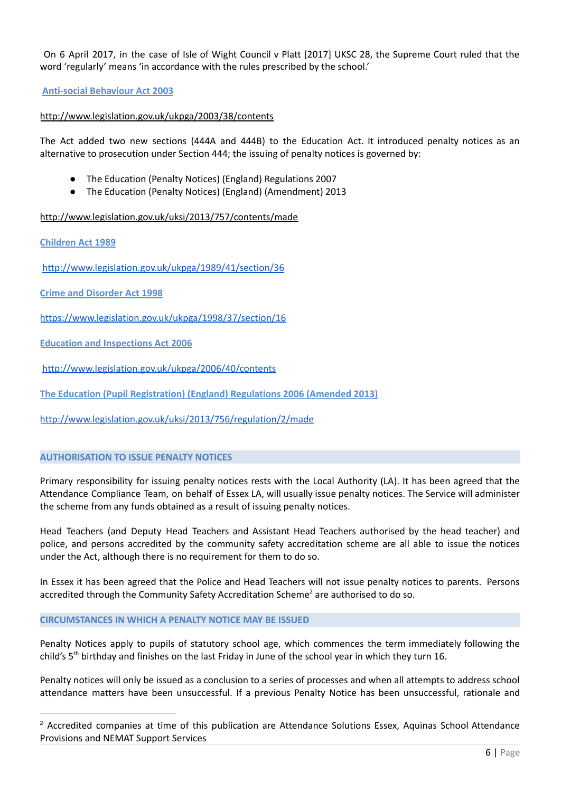On 6 April 2017, in the case of Isle of Wight Council v Platt [2017] UKSC 28, the Supreme Court ruled that the word 'regularly' means 'in accordance with the rules prescribed by the school.'

## **Anti-social Behaviour Act 2003**

## <http://www.legislation.gov.uk/ukpga/2003/38/contents>

The Act added two new sections (444A and 444B) to the Education Act. It introduced penalty notices as an alternative to prosecution under Section 444; the issuing of penalty notices is governed by:

- The Education (Penalty Notices) (England) Regulations 2007
- The Education (Penalty Notices) (England) (Amendment) 2013

<http://www.legislation.gov.uk/uksi/2013/757/contents/made>

**Children Act 1989**

<http://www.legislation.gov.uk/ukpga/1989/41/section/36>

**Crime and Disorder Act 1998**

<https://www.legislation.gov.uk/ukpga/1998/37/section/16>

**Education and Inspections Act 2006**

<http://www.legislation.gov.uk/ukpga/2006/40/contents>

**The Education (Pupil Registration) (England) Regulations 2006 (Amended 2013)**

<http://www.legislation.gov.uk/uksi/2013/756/regulation/2/made>

### **AUTHORISATION TO ISSUE PENALTY NOTICES**

Primary responsibility for issuing penalty notices rests with the Local Authority (LA). It has been agreed that the Attendance Compliance Team, on behalf of Essex LA, will usually issue penalty notices. The Service will administer the scheme from any funds obtained as a result of issuing penalty notices.

Head Teachers (and Deputy Head Teachers and Assistant Head Teachers authorised by the head teacher) and police, and persons accredited by the community safety accreditation scheme are all able to issue the notices under the Act, although there is no requirement for them to do so.

In Essex it has been agreed that the Police and Head Teachers will not issue penalty notices to parents. Persons accredited through the Community Safety Accreditation Scheme<sup>2</sup> are authorised to do so.

### **CIRCUMSTANCES IN WHICH A PENALTY NOTICE MAY BE ISSUED**

Penalty Notices apply to pupils of statutory school age, which commences the term immediately following the child's 5<sup>th</sup> birthday and finishes on the last Friday in June of the school year in which they turn 16.

Penalty notices will only be issued as a conclusion to a series of processes and when all attempts to address school attendance matters have been unsuccessful. If a previous Penalty Notice has been unsuccessful, rationale and

<sup>&</sup>lt;sup>2</sup> Accredited companies at time of this publication are Attendance Solutions Essex, Aquinas School Attendance Provisions and NEMAT Support Services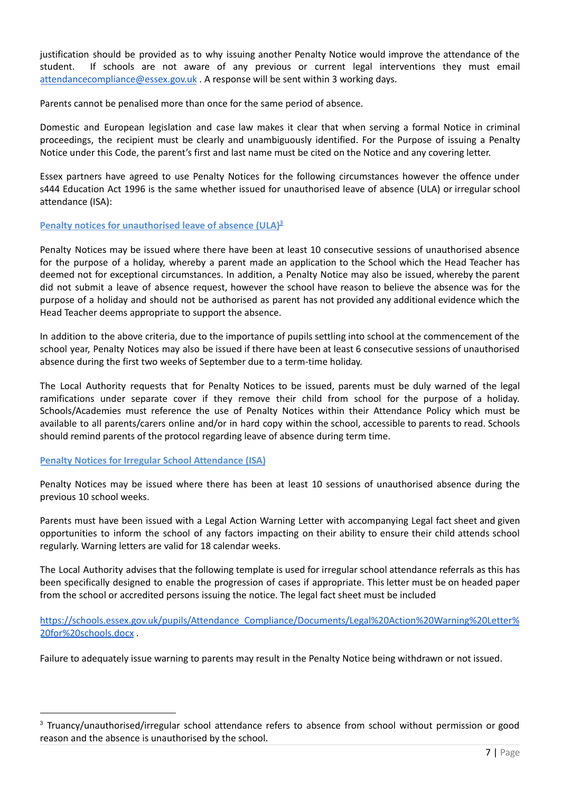justification should be provided as to why issuing another Penalty Notice would improve the attendance of the student. If schools are not aware of any previous or current legal interventions they must email [attendancecompliance@essex.gov.uk](mailto:attendancecompliance@essex.gov.uk) . A response will be sent within 3 working days.

Parents cannot be penalised more than once for the same period of absence.

Domestic and European legislation and case law makes it clear that when serving a formal Notice in criminal proceedings, the recipient must be clearly and unambiguously identified. For the Purpose of issuing a Penalty Notice under this Code, the parent's first and last name must be cited on the Notice and any covering letter.

Essex partners have agreed to use Penalty Notices for the following circumstances however the offence under s444 Education Act 1996 is the same whether issued for unauthorised leave of absence (ULA) or irregular school attendance (ISA):

# **Penalty notices for unauthorised leave of absence (ULA) 3**

Penalty Notices may be issued where there have been at least 10 consecutive sessions of unauthorised absence for the purpose of a holiday, whereby a parent made an application to the School which the Head Teacher has deemed not for exceptional circumstances. In addition, a Penalty Notice may also be issued, whereby the parent did not submit a leave of absence request, however the school have reason to believe the absence was for the purpose of a holiday and should not be authorised as parent has not provided any additional evidence which the Head Teacher deems appropriate to support the absence.

In addition to the above criteria, due to the importance of pupils settling into school at the commencement of the school year, Penalty Notices may also be issued if there have been at least 6 consecutive sessions of unauthorised absence during the first two weeks of September due to a term-time holiday.

The Local Authority requests that for Penalty Notices to be issued, parents must be duly warned of the legal ramifications under separate cover if they remove their child from school for the purpose of a holiday. Schools/Academies must reference the use of Penalty Notices within their Attendance Policy which must be available to all parents/carers online and/or in hard copy within the school, accessible to parents to read. Schools should remind parents of the protocol regarding leave of absence during term time.

### **Penalty Notices for Irregular School Attendance (ISA)**

Penalty Notices may be issued where there has been at least 10 sessions of unauthorised absence during the previous 10 school weeks.

Parents must have been issued with a Legal Action Warning Letter with accompanying Legal fact sheet and given opportunities to inform the school of any factors impacting on their ability to ensure their child attends school regularly. Warning letters are valid for 18 calendar weeks.

The Local Authority advises that the following template is used for irregular school attendance referrals as this has been specifically designed to enable the progression of cases if appropriate. This letter must be on headed paper from the school or accredited persons issuing the notice. The legal fact sheet must be included

[https://schools.essex.gov.uk/pupils/Attendance\\_Compliance/Documents/Legal%20Action%20Warning%20Letter%](https://schools.essex.gov.uk/pupils/Attendance_Compliance/Documents/Legal%20Action%20Warning%20Letter%20for%20schools.docx) [20for%20schools.docx](https://schools.essex.gov.uk/pupils/Attendance_Compliance/Documents/Legal%20Action%20Warning%20Letter%20for%20schools.docx) .

Failure to adequately issue warning to parents may result in the Penalty Notice being withdrawn or not issued.

<sup>&</sup>lt;sup>3</sup> Truancy/unauthorised/irregular school attendance refers to absence from school without permission or good reason and the absence is unauthorised by the school.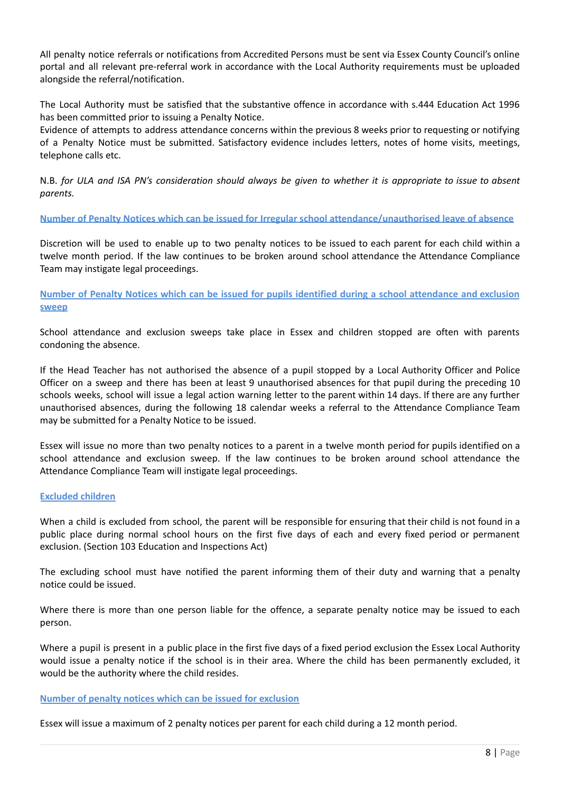All penalty notice referrals or notifications from Accredited Persons must be sent via Essex County Council's online portal and all relevant pre-referral work in accordance with the Local Authority requirements must be uploaded alongside the referral/notification.

The Local Authority must be satisfied that the substantive offence in accordance with s.444 Education Act 1996 has been committed prior to issuing a Penalty Notice.

Evidence of attempts to address attendance concerns within the previous 8 weeks prior to requesting or notifying of a Penalty Notice must be submitted. Satisfactory evidence includes letters, notes of home visits, meetings, telephone calls etc.

N.B. for ULA and ISA PN's consideration should always be given to whether it is appropriate to issue to absent *parents.*

**Number of Penalty Notices which can be issued for Irregular school attendance/unauthorised leave of absence**

Discretion will be used to enable up to two penalty notices to be issued to each parent for each child within a twelve month period. If the law continues to be broken around school attendance the Attendance Compliance Team may instigate legal proceedings.

Number of Penalty Notices which can be issued for pupils identified during a school attendance and exclusion **sweep**

School attendance and exclusion sweeps take place in Essex and children stopped are often with parents condoning the absence.

If the Head Teacher has not authorised the absence of a pupil stopped by a Local Authority Officer and Police Officer on a sweep and there has been at least 9 unauthorised absences for that pupil during the preceding 10 schools weeks, school will issue a legal action warning letter to the parent within 14 days. If there are any further unauthorised absences, during the following 18 calendar weeks a referral to the Attendance Compliance Team may be submitted for a Penalty Notice to be issued.

Essex will issue no more than two penalty notices to a parent in a twelve month period for pupils identified on a school attendance and exclusion sweep. If the law continues to be broken around school attendance the Attendance Compliance Team will instigate legal proceedings.

### **Excluded children**

When a child is excluded from school, the parent will be responsible for ensuring that their child is not found in a public place during normal school hours on the first five days of each and every fixed period or permanent exclusion. (Section 103 Education and Inspections Act)

The excluding school must have notified the parent informing them of their duty and warning that a penalty notice could be issued.

Where there is more than one person liable for the offence, a separate penalty notice may be issued to each person.

Where a pupil is present in a public place in the first five days of a fixed period exclusion the Essex Local Authority would issue a penalty notice if the school is in their area. Where the child has been permanently excluded, it would be the authority where the child resides.

### **Number of penalty notices which can be issued for exclusion**

Essex will issue a maximum of 2 penalty notices per parent for each child during a 12 month period.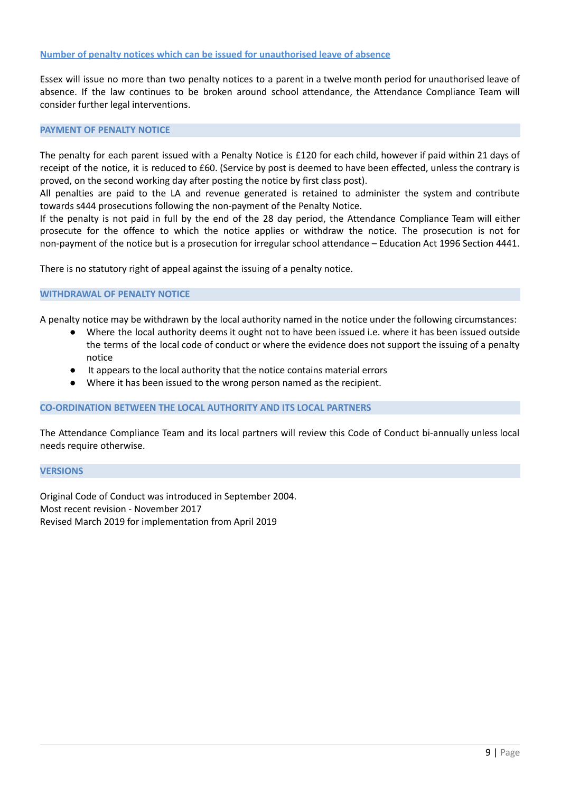#### **Number of penalty notices which can be issued for unauthorised leave of absence**

Essex will issue no more than two penalty notices to a parent in a twelve month period for unauthorised leave of absence. If the law continues to be broken around school attendance, the Attendance Compliance Team will consider further legal interventions.

#### **PAYMENT OF PENALTY NOTICE**

The penalty for each parent issued with a Penalty Notice is £120 for each child, however if paid within 21 days of receipt of the notice, it is reduced to £60. (Service by post is deemed to have been effected, unless the contrary is proved, on the second working day after posting the notice by first class post).

All penalties are paid to the LA and revenue generated is retained to administer the system and contribute towards s444 prosecutions following the non-payment of the Penalty Notice.

If the penalty is not paid in full by the end of the 28 day period, the Attendance Compliance Team will either prosecute for the offence to which the notice applies or withdraw the notice. The prosecution is not for non-payment of the notice but is a prosecution for irregular school attendance – Education Act 1996 Section 4441.

There is no statutory right of appeal against the issuing of a penalty notice.

#### **WITHDRAWAL OF PENALTY NOTICE**

A penalty notice may be withdrawn by the local authority named in the notice under the following circumstances:

- Where the local authority deems it ought not to have been issued i.e. where it has been issued outside the terms of the local code of conduct or where the evidence does not support the issuing of a penalty notice
- It appears to the local authority that the notice contains material errors
- Where it has been issued to the wrong person named as the recipient.

#### **CO-ORDINATION BETWEEN THE LOCAL AUTHORITY AND ITS LOCAL PARTNERS**

The Attendance Compliance Team and its local partners will review this Code of Conduct bi-annually unless local needs require otherwise.

#### **VERSIONS**

Original Code of Conduct was introduced in September 2004. Most recent revision - November 2017 Revised March 2019 for implementation from April 2019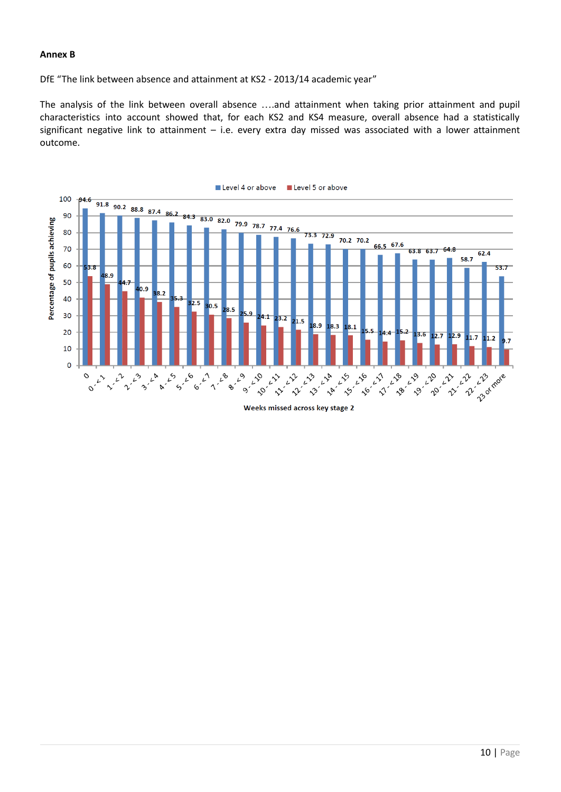### **Annex B**

DfE "The link between absence and attainment at KS2 - 2013/14 academic year"

The analysis of the link between overall absence ….and attainment when taking prior attainment and pupil characteristics into account showed that, for each KS2 and KS4 measure, overall absence had a statistically significant negative link to attainment – i.e. every extra day missed was associated with a lower attainment outcome.



Weeks missed across key stage 2